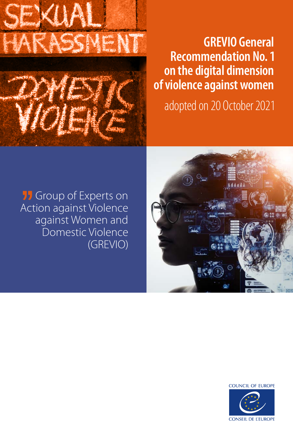

## **GREVIO General Recommendation No. 1 on the digital dimension of violence against women**

adopted on 20 October 2021





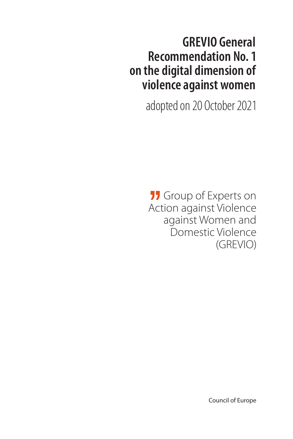## **GREVIO General Recommendation No. 1 on the digital dimension of violence against women**

adopted on 20 October 2021

**11** Group of Experts on Action against Violence against Women and Domestic Violence (GREVIO)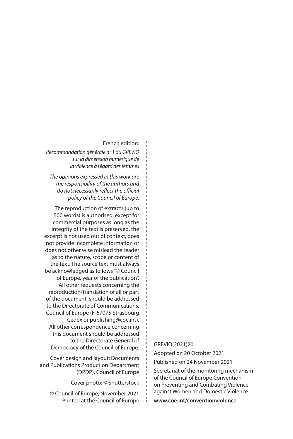#### French edition:

*Recommandation générale n° 1 du GREVIO sur la dimension numérique de la violence à l'égard des femmes*

*The opinions expressed in this work are the responsibility of the authors and do not necessarily reflect the official policy of the Council of Europe.*

The reproduction of extracts (up to 500 words) is authorised, except for commercial purposes as long as the integrity of the text is preserved, the excerpt is not used out of context, does not provide incomplete information or does not other wise mislead the reader as to the nature, scope or content of the text. The source text must always be acknowledged as follows "© Council of Europe, year of the publication". All other requests concerning the reproduction/translation of all or part of the document, should be addressed to the Directorate of Communications, Council of Europe (F-67075 Strasbourg Cedex or publishing@coe.int). All other correspondence concerning this document should be addressed to the Directorate General of Democracy of the Council of Europe.

Cover design and layout: Documents and Publications Production Department (DPDP), Council of Europe

Cover photo: © Shutterstock

© Council of Europe, November 2021 Printed at the Council of Europe GREVIO(2021)20

Adopted on 20 October 2021

Published on 24 November 2021

Secretariat of the monitoring mechanism of the Council of Europe Convention on Preventing and Combating Violence against Women and Domestic Violence

**www.coe.int/conventionviolence**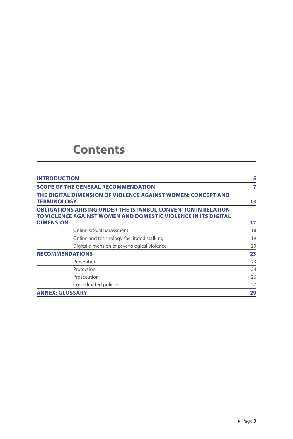## **Contents**

| <b>INTRODUCTION</b>                                                                                                                                        | 5  |
|------------------------------------------------------------------------------------------------------------------------------------------------------------|----|
| <b>SCOPE OF THE GENERAL RECOMMENDATION</b>                                                                                                                 | 7  |
| THE DIGITAL DIMENSION OF VIOLENCE AGAINST WOMEN: CONCEPT AND<br><b>TERMINOLOGY</b>                                                                         | 13 |
| <b>OBLIGATIONS ARISING UNDER THE ISTANBUL CONVENTION IN RELATION</b><br>TO VIOLENCE AGAINST WOMEN AND DOMESTIC VIOLENCE IN ITS DIGITAL<br><b>DIMENSION</b> | 17 |
| Online sexual harassment                                                                                                                                   | 18 |
| Online and technology-facilitated stalking                                                                                                                 | 19 |
| Digital dimension of psychological violence                                                                                                                | 20 |
| <b>RECOMMENDATIONS</b>                                                                                                                                     | 23 |
| Prevention                                                                                                                                                 | 23 |
| Protection                                                                                                                                                 | 24 |
| Prosecution                                                                                                                                                | 26 |
| Co-ordinated policies                                                                                                                                      | 27 |
| <b>ANNEX: GLOSSARY</b>                                                                                                                                     | 29 |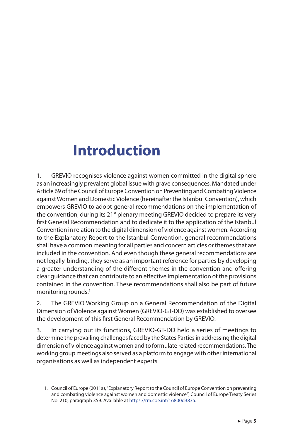# <span id="page-5-0"></span>**Introduction**

1. GREVIO recognises violence against women committed in the digital sphere as an increasingly prevalent global issue with grave consequences. Mandated under Article 69 of the Council of Europe Convention on Preventing and Combating Violence against Women and Domestic Violence (hereinafter the Istanbul Convention), which empowers GREVIO to adopt general recommendations on the implementation of the convention, during its 21<sup>st</sup> plenary meeting GREVIO decided to prepare its very first General Recommendation and to dedicate it to the application of the Istanbul Convention in relation to the digital dimension of violence against women. According to the Explanatory Report to the Istanbul Convention, general recommendations shall have a common meaning for all parties and concern articles or themes that are included in the convention. And even though these general recommendations are not legally-binding, they serve as an important reference for parties by developing a greater understanding of the different themes in the convention and offering clear guidance that can contribute to an effective implementation of the provisions contained in the convention. These recommendations shall also be part of future monitoring rounds.<sup>1</sup>

2. The GREVIO Working Group on a General Recommendation of the Digital Dimension of Violence against Women (GREVIO-GT-DD) was established to oversee the development of this first General Recommendation by GREVIO.

3. In carrying out its functions, GREVIO-GT-DD held a series of meetings to determine the prevailing challenges faced by the States Parties in addressing the digital dimension of violence against women and to formulate related recommendations. The working group meetings also served as a platform to engage with other international organisations as well as independent experts.

<sup>1.</sup> Council of Europe (2011a), "Explanatory Report to the Council of Europe Convention on preventing and combating violence against women and domestic violence*"*, Council of Europe Treaty Series No. 210, paragraph 359. Available at<https://rm.coe.int/16800d383a>.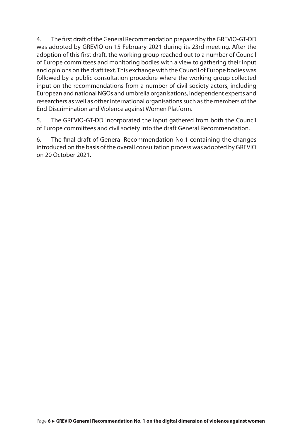4. The first draft of the General Recommendation prepared by the GREVIO-GT-DD was adopted by GREVIO on 15 February 2021 during its 23rd meeting. After the adoption of this first draft, the working group reached out to a number of Council of Europe committees and monitoring bodies with a view to gathering their input and opinions on the draft text. This exchange with the Council of Europe bodies was followed by a public consultation procedure where the working group collected input on the recommendations from a number of civil society actors, including European and national NGOs and umbrella organisations, independent experts and researchers as well as other international organisations such as the members of the End Discrimination and Violence against Women Platform.

5. The GREVIO-GT-DD incorporated the input gathered from both the Council of Europe committees and civil society into the draft General Recommendation.

6. The final draft of General Recommendation No.1 containing the changes introduced on the basis of the overall consultation process was adopted by GREVIO on 20 October 2021.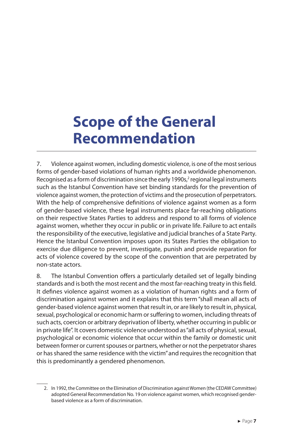# <span id="page-7-0"></span>**Scope of the General Recommendation**

7. Violence against women, including domestic violence, is one of the most serious forms of gender-based violations of human rights and a worldwide phenomenon. Recognised as a form of discrimination since the early 1990s, $^2$  regional legal instruments such as the Istanbul Convention have set binding standards for the prevention of violence against women, the protection of victims and the prosecution of perpetrators. With the help of comprehensive definitions of violence against women as a form of gender-based violence, these legal instruments place far-reaching obligations on their respective States Parties to address and respond to all forms of violence against women, whether they occur in public or in private life. Failure to act entails the responsibility of the executive, legislative and judicial branches of a State Party. Hence the Istanbul Convention imposes upon its States Parties the obligation to exercise due diligence to prevent, investigate, punish and provide reparation for acts of violence covered by the scope of the convention that are perpetrated by non‐state actors.

8. The Istanbul Convention offers a particularly detailed set of legally binding standards and is both the most recent and the most far-reaching treaty in this field. It defines violence against women as a violation of human rights and a form of discrimination against women and it explains that this term "shall mean all acts of gender-based violence against women that result in, or are likely to result in, physical, sexual, psychological or economic harm or suffering to women, including threats of such acts, coercion or arbitrary deprivation of liberty, whether occurring in public or in private life". It covers domestic violence understood as "all acts of physical, sexual, psychological or economic violence that occur within the family or domestic unit between former or current spouses or partners, whether or not the perpetrator shares or has shared the same residence with the victim" and requires the recognition that this is predominantly a gendered phenomenon.

<sup>2.</sup> In 1992, the Committee on the Elimination of Discrimination against Women (the CEDAW Committee) adopted General Recommendation No. 19 on violence against women, which recognised genderbased violence as a form of discrimination.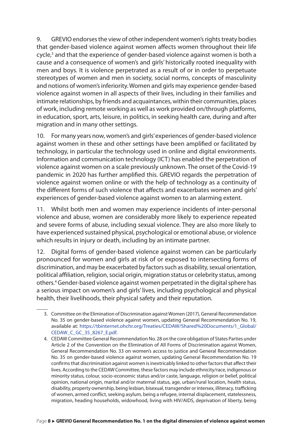9. GREVIO endorses the view of other independent women's rights treaty bodies that gender-based violence against women affects women throughout their life cycle,<sup>3</sup> and that the experience of gender-based violence against women is both a cause and a consequence of women's and girls' historically rooted inequality with men and boys. It is violence perpetrated as a result of or in order to perpetuate stereotypes of women and men in society, social norms, concepts of masculinity and notions of women's inferiority. Women and girls may experience gender-based violence against women in all aspects of their lives, including in their families and intimate relationships, by friends and acquaintances, within their communities, places of work, including remote working as well as work provided on/through platforms, in education, sport, arts, leisure, in politics, in seeking health care, during and after migration and in many other settings.

10. For many years now, women's and girls' experiences of gender-based violence against women in these and other settings have been amplified or facilitated by technology, in particular the technology used in online and digital environments. Information and communication technology (ICT) has enabled the perpetration of violence against women on a scale previously unknown. The onset of the Covid-19 pandemic in 2020 has further amplified this. GREVIO regards the perpetration of violence against women online or with the help of technology as a continuity of the different forms of such violence that affects and exacerbates women and girls' experiences of gender-based violence against women to an alarming extent.

11. Whilst both men and women may experience incidents of inter-personal violence and abuse, women are considerably more likely to experience repeated and severe forms of abuse, including sexual violence. They are also more likely to have experienced sustained physical, psychological or emotional abuse, or violence which results in injury or death, including by an intimate partner.

12. Digital forms of gender-based violence against women can be particularly pronounced for women and girls at risk of or exposed to intersecting forms of discrimination, and may be exacerbated by factors such as disability, sexual orientation, political affiliation, religion, social origin, migration status or celebrity status, among others.4 Gender-based violence against women perpetrated in the digital sphere has a serious impact on women's and girls' lives, including psychological and physical health, their livelihoods, their physical safety and their reputation.

<sup>3.</sup> Committee on the Elimination of Discrimination against Women (2017), General Recommendation No. 35 on gender-based violence against women, updating General Recommendation No. 19, available at: [https://tbinternet.ohchr.org/Treaties/CEDAW/Shared%20Documents/1\\_Global/](https://tbinternet.ohchr.org/Treaties/CEDAW/Shared Documents/1_Global/CEDAW_C_GC_35_8267_E.pdf) [CEDAW\\_C\\_GC\\_35\\_8267\\_E.pdf](https://tbinternet.ohchr.org/Treaties/CEDAW/Shared Documents/1_Global/CEDAW_C_GC_35_8267_E.pdf).

<sup>4.</sup> CEDAW Committee General Recommendation No. 28 on the core obligation of States Parties under Article 2 of the Convention on the Elimination of All Forms of Discrimination against Women, General Recommendation No. 33 on women's access to justice and General Recommendation No. 35 on gender-based violence against women, updating General Recommendation No. 19 confirms that discrimination against women is inextricably linked to other factors that affect their lives. According to the CEDAW Committee, these factors may include ethnicity/race, indigenous or minority status, colour, socio-economic status and/or caste, language, religion or belief, political opinion, national origin, marital and/or maternal status, age, urban/rural location, health status, disability, property ownership, being lesbian, bisexual, transgender or intersex, illiteracy, trafficking of women, armed conflict, seeking asylum, being a refugee, internal displacement, statelessness, migration, heading households, widowhood, living with HIV/AIDS, deprivation of liberty, being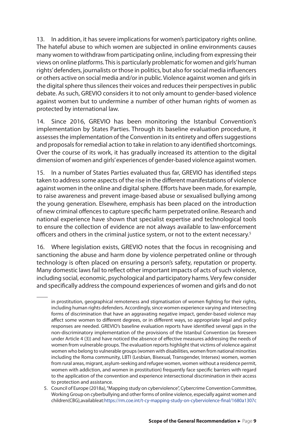13. In addition, it has severe implications for women's participatory rights online. The hateful abuse to which women are subjected in online environments causes many women to withdraw from participating online, including from expressing their views on online platforms. This is particularly problematic for women and girls' human rights' defenders, journalists or those in politics, but also for social media influencers or others active on social media and/or in public. Violence against women and girls in the digital sphere thus silences their voices and reduces their perspectives in public debate. As such, GREVIO considers it to not only amount to gender-based violence against women but to undermine a number of other human rights of women as protected by international law.

14. Since 2016, GREVIO has been monitoring the Istanbul Convention's implementation by States Parties. Through its baseline evaluation procedure, it assesses the implementation of the Convention in its entirety and offers suggestions and proposals for remedial action to take in relation to any identified shortcomings. Over the course of its work, it has gradually increased its attention to the digital dimension of women and girls' experiences of gender-based violence against women.

15. In a number of States Parties evaluated thus far, GREVIO has identified steps taken to address some aspects of the rise in the different manifestations of violence against women in the online and digital sphere. Efforts have been made, for example, to raise awareness and prevent image-based abuse or sexualised bullying among the young generation. Elsewhere, emphasis has been placed on the introduction of new criminal offences to capture specific harm perpetrated online. Research and national experience have shown that specialist expertise and technological tools to ensure the collection of evidence are not always available to law-enforcement officers and others in the criminal justice system, or not to the extent necessary.<sup>5</sup>

16. Where legislation exists, GREVIO notes that the focus in recognising and sanctioning the abuse and harm done by violence perpetrated online or through technology is often placed on ensuring a person's safety, reputation or property. Many domestic laws fail to reflect other important impacts of acts of such violence, including social, economic, psychological and participatory harms. Very few consider and specifically address the compound experiences of women and girls and do not

in prostitution, geographical remoteness and stigmatisation of women fighting for their rights, including human rights defenders. Accordingly, since women experience varying and intersecting forms of discrimination that have an aggravating negative impact, gender-based violence may affect some women to different degrees, or in different ways, so appropriate legal and policy responses are needed. GREVIO's baseline evaluation reports have identified several gaps in the non-discriminatory implementation of the provisions of the Istanbul Convention (as foreseen under Article 4 (3)) and have noticed the absence of effective measures addressing the needs of women from vulnerable groups. The evaluation reports highlight that victims of violence against women who belong to vulnerable groups (women with disabilities, women from national minorities including the Roma community, LBTI (Lesbian, Bisexual, Transgender, Intersex) women, women from rural areas, migrant, asylum-seeking and refugee women, women without a residence permit, women with addiction, and women in prostitution) frequently face specific barriers with regard to the application of the convention and experience intersectional discrimination in their access to protection and assistance.

<sup>5.</sup> Council of Europe (2018a), "Mapping study on cyberviolence", Cybercrime Convention Committee, Working Group on cyberbullying and other forms of online violence, especially against women and children (CBG), available at[: https://rm.coe.int/t-cy-mapping-study-on-cyberviolence-final/1680a1307c](https://rm.coe.int/t-cy-mapping-study-on-cyberviolence-final/1680a1307c)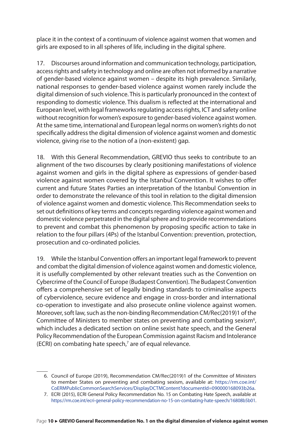place it in the context of a continuum of violence against women that women and girls are exposed to in all spheres of life, including in the digital sphere.

17. Discourses around information and communication technology, participation, access rights and safety in technology and online are often not informed by a narrative of gender-based violence against women – despite its high prevalence. Similarly, national responses to gender-based violence against women rarely include the digital dimension of such violence. This is particularly pronounced in the context of responding to domestic violence. This dualism is reflected at the international and European level, with legal frameworks regulating access rights, ICT and safety online without recognition for women's exposure to gender-based violence against women. At the same time, international and European legal norms on women's rights do not specifically address the digital dimension of violence against women and domestic violence, giving rise to the notion of a (non-existent) gap.

18. With this General Recommendation, GREVIO thus seeks to contribute to an alignment of the two discourses by clearly positioning manifestations of violence against women and girls in the digital sphere as expressions of gender-based violence against women covered by the Istanbul Convention. It wishes to offer current and future States Parties an interpretation of the Istanbul Convention in order to demonstrate the relevance of this tool in relation to the digital dimension of violence against women and domestic violence. This Recommendation seeks to set out definitions of key terms and concepts regarding violence against women and domestic violence perpetrated in the digital sphere and to provide recommendations to prevent and combat this phenomenon by proposing specific action to take in relation to the four pillars (4Ps) of the Istanbul Convention: prevention, protection, prosecution and co-ordinated policies.

19. While the Istanbul Convention offers an important legal framework to prevent and combat the digital dimension of violence against women and domestic violence, it is usefully complemented by other relevant treaties such as the Convention on Cybercrime of the Council of Europe (Budapest Convention). The Budapest Convention offers a comprehensive set of legally binding standards to criminalise aspects of cyberviolence, secure evidence and engage in cross-border and international co-operation to investigate and also prosecute online violence against women. Moreover, soft law, such as the non-binding [Recommendation CM/Rec\(2019\)1 of the](https://rm.coe.int/CoERMPublicCommonSearchServices/DisplayDCTMContent?documentId=090000168093b26a)  Committee of Ministers to member states on preventing and combating sexism<sup>6</sup>, which includes a dedicated section on online sexist hate speech, and the [General](http://www.coe.int/t/dghl/monitoring/ecri/activities/GPR/EN/Recommendation_N15/REC-15-2016-015-ENG.pdf)  [Policy Recommendation of the European Commission against Racism and Intolerance](http://www.coe.int/t/dghl/monitoring/ecri/activities/GPR/EN/Recommendation_N15/REC-15-2016-015-ENG.pdf)  [\(ECRI\) on combating hate speech](http://www.coe.int/t/dghl/monitoring/ecri/activities/GPR/EN/Recommendation_N15/REC-15-2016-015-ENG.pdf),7 are of equal relevance.

<sup>6.</sup> Council of Europe (2019), Recommendation CM/Rec(2019)1 of the Committee of Ministers to member States on preventing and combating sexism, available at: [https://rm.coe.int/](https://rm.coe.int/CoERMPublicCommonSearchServices/DisplayDCTMContent?documentId=090000168093b26a) [CoERMPublicCommonSearchServices/DisplayDCTMContent?documentId=090000168093b26a.](https://rm.coe.int/CoERMPublicCommonSearchServices/DisplayDCTMContent?documentId=090000168093b26a)

<sup>7.</sup> ECRI (2015), ECRI General Policy Recommendation No. 15 on Combating Hate Speech, available at <https://rm.coe.int/ecri-general-policy-recommendation-no-15-on-combating-hate-speech/16808b5b01>.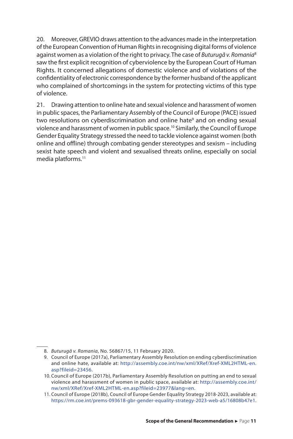20. Moreover, GREVIO draws attention to the advances made in the interpretation of the European Convention of Human Rights in recognising digital forms of violence against women as a violation of the right to privacy. The case of *Buturugă v. Romania*<sup>8</sup> saw the first explicit recognition of cyberviolence by the European Court of Human Rights. It concerned allegations of domestic violence and of violations of the confidentiality of electronic correspondence by the former husband of the applicant who complained of shortcomings in the system for protecting victims of this type of violence.

21. Drawing attention to online hate and sexual violence and harassment of women in public spaces, the Parliamentary Assembly of the Council of Europe (PACE) issued two resolutions on [cyberdiscrimination and online hate](http://assembly.coe.int/nw/xml/XRef/Xref-XML2HTML-en.asp?fileid=23456&lang=en)<sup>9</sup> and on ending sexual [violence and harassment of women in public space](http://assembly.coe.int/nw/xml/XRef/Xref-XML2HTML-en.asp?fileid=23977&lang=en).10 Similarly, the Council of Europe Gender Equality Strategy stressed the need to tackle violence against women (both online and offline) through combating gender stereotypes and sexism – including sexist hate speech and violent and sexualised threats online, especially on social media platforms.<sup>11</sup>

<sup>8.</sup> *Buturugă v. Romania*, No. 56867/15, 11 February 2020.

<sup>9.</sup> Council of Europe (2017a), Parliamentary Assembly Resolution on ending cyberdiscrimination and online hate, available at: [http://assembly.coe.int/nw/xml/XRef/Xref-XML2HTML-en.](http://assembly.coe.int/nw/xml/XRef/Xref-XML2HTML-en.asp?fileid=23456) [asp?fileid=23456.](http://assembly.coe.int/nw/xml/XRef/Xref-XML2HTML-en.asp?fileid=23456)

<sup>10.</sup> Council of Europe (2017b), Parliamentary Assembly Resolution on putting an end to sexual violence and harassment of women in public space, available at: [http://assembly.coe.int/](http://assembly.coe.int/nw/xml/XRef/Xref-XML2HTML-en.asp?fileid=23977&lang=en) [nw/xml/XRef/Xref-XML2HTML-en.asp?fileid=23977&lang=en.](http://assembly.coe.int/nw/xml/XRef/Xref-XML2HTML-en.asp?fileid=23977&lang=en)

<sup>11.</sup> Council of Europe (2018b), Council of Europe Gender Equality Strategy 2018-2023, available at: <https://rm.coe.int/prems-093618-gbr-gender-equality-strategy-2023-web-a5/16808b47e1>.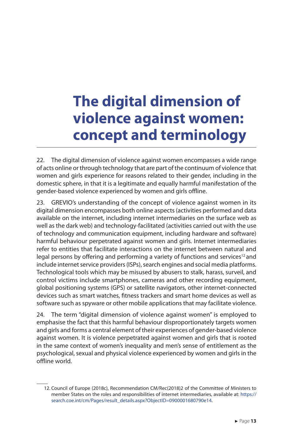# <span id="page-13-0"></span>**The digital dimension of violence against women: concept and terminology**

22. The digital dimension of violence against women encompasses a wide range of acts online or through technology that are part of the continuum of violence that women and girls experience for reasons related to their gender, including in the domestic sphere, in that it is a legitimate and equally harmful manifestation of the gender-based violence experienced by women and girls offline.

23. GREVIO's understanding of the concept of violence against women in its digital dimension encompasses both online aspects (activities performed and data available on the internet, including internet intermediaries on the surface web as well as the dark web) and technology-facilitated (activities carried out with the use of technology and communication equipment, including hardware and software) harmful behaviour perpetrated against women and girls. Internet intermediaries refer to entities that facilitate interactions on the internet between natural and legal persons by offering and performing a variety of functions and services<sup>12</sup> and include internet service providers (ISPs), search engines and social media platforms. Technological tools which may be misused by abusers to stalk, harass, surveil, and control victims include smartphones, cameras and other recording equipment, global positioning systems (GPS) or satellite navigators, other internet-connected devices such as smart watches, fitness trackers and smart home devices as well as software such as spyware or other mobile applications that may facilitate violence.

24. The term "digital dimension of violence against women" is employed to emphasise the fact that this harmful behaviour disproportionately targets women and girls and forms a central element of their experiences of gender-based violence against women. It is violence perpetrated against women and girls that is rooted in the same context of women's inequality and men's sense of entitlement as the psychological, sexual and physical violence experienced by women and girls in the offline world.

<sup>12.</sup> Council of Europe (2018c), Recommendation CM/Rec(2018)2 of the Committee of Ministers to member States on the roles and responsibilities of internet intermediaries, available at: [https://](https://search.coe.int/cm/Pages/result_details.aspx?ObjectID=0900001680790e14) [search.coe.int/cm/Pages/result\\_details.aspx?ObjectID=0900001680790e14.](https://search.coe.int/cm/Pages/result_details.aspx?ObjectID=0900001680790e14)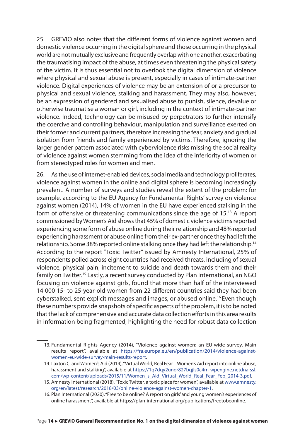25. GREVIO also notes that the different forms of violence against women and domestic violence occurring in the digital sphere and those occurring in the physical world are not mutually exclusive and frequently overlap with one another, exacerbating the traumatising impact of the abuse, at times even threatening the physical safety of the victim. It is thus essential not to overlook the digital dimension of violence where physical and sexual abuse is present, especially in cases of intimate-partner violence. Digital experiences of violence may be an extension of or a precursor to physical and sexual violence, stalking and harassment. They may also, however, be an expression of gendered and sexualised abuse to punish, silence, devalue or otherwise traumatise a woman or girl, including in the context of intimate-partner violence. Indeed, technology can be misused by perpetrators to further intensify the coercive and controlling behaviour, manipulation and surveillance exerted on their former and current partners, therefore increasing the fear, anxiety and gradual isolation from friends and family experienced by victims. Therefore, ignoring the larger gender pattern associated with cyberviolence risks missing the social reality of violence against women stemming from the idea of the inferiority of women or from stereotyped roles for women and men.

26. As the use of internet-enabled devices, social media and technology proliferates, violence against women in the online and digital sphere is becoming increasingly prevalent. A number of surveys and studies reveal the extent of the problem: for example, according to the EU Agency for Fundamental Rights' survey on violence against women (2014), 14% of women in the EU have experienced stalking in the form of offensive or threatening communications since the age of 15.13 A report commissioned by Women's Aid shows that 45% of domestic violence victims reported experiencing some form of abuse online during their relationship and 48% reported experiencing harassment or abuse online from their ex-partner once they had left the relationship. Some 38% reported online stalking once they had left the relationship.<sup>14</sup> According to the report "Toxic Twitter" issued by Amnesty International, 25% of respondents polled across eight countries had received threats, including of sexual violence, physical pain, incitement to suicide and death towards them and their family on Twitter.<sup>15</sup> Lastly, a recent survey conducted by Plan International, an NGO focusing on violence against girls, found that more than half of the interviewed 14 000 15- to 25-year-old women from 22 different countries said they had been cyberstalked, sent explicit messages and images, or abused online.<sup>16</sup> Even though these numbers provide snapshots of specific aspects of the problem, it is to be noted that the lack of comprehensive and accurate data collection efforts in this area results in information being fragmented, highlighting the need for robust data collection

<sup>13.</sup> Fundamental Rights Agency (2014), "Violence against women: an EU-wide survey. Main results report", available at [https://fra.europa.eu/en/publication/2014/violence-against](https://fra.europa.eu/en/publication/2014/violence-against-women-eu-wide-survey-main-results-report)[women-eu-wide-survey-main-results-report.](https://fra.europa.eu/en/publication/2014/violence-against-women-eu-wide-survey-main-results-report)

<sup>14.</sup> Laxton C. and Women's Aid (2014), "Virtual World, Real Fear – Women's Aid report into online abuse, harassment and stalking", available at [https://1q7dqy2unor827bqjls0c4rn-wpengine.netdna-ssl.](https://1q7dqy2unor827bqjls0c4rn-wpengine.netdna-ssl.com/wp-content/uploads/2015/11/Women_s_Aid_Virtual_World_Real_Fear_Feb_2014-3.pdf) [com/wp-content/uploads/2015/11/Women\\_s\\_Aid\\_Virtual\\_World\\_Real\\_Fear\\_Feb\\_2014-3.pdf.](https://1q7dqy2unor827bqjls0c4rn-wpengine.netdna-ssl.com/wp-content/uploads/2015/11/Women_s_Aid_Virtual_World_Real_Fear_Feb_2014-3.pdf)

<sup>15.</sup> Amnesty International (2018), "Toxic Twitter, a toxic place for women", available at [www.amnesty.](http://www.amnesty.org/en/latest/research/2018/03/online-violence-against-women-chapter-1) [org/en/latest/research/2018/03/online-violence-against-women-chapter-1.](http://www.amnesty.org/en/latest/research/2018/03/online-violence-against-women-chapter-1)

<sup>16.</sup> Plan International (2020), "Free to be online? A report on girls' and young women's experiences of online harassment", available at https://plan-international.org/publications/freetobeonline.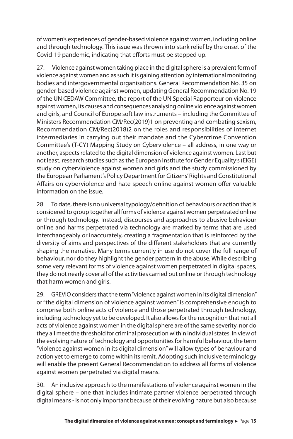of women's experiences of gender-based violence against women, including online and through technology. This issue was thrown into stark relief by the onset of the Covid-19 pandemic, indicating that efforts must be stepped up.

27. Violence against women taking place in the digital sphere is a prevalent form of violence against women and as such it is gaining attention by international monitoring bodies and intergovernmental organisations. General Recommendation No. 35 on gender-based violence against women, updating General Recommendation No. 19 of the UN CEDAW Committee, the report of the UN Special Rapporteur on violence against women, its causes and consequences analysing online violence against women and girls, and Council of Europe soft law instruments – including the Committee of Ministers Recommendation CM/Rec(2019)1 on preventing and combating sexism, Recommendation CM/Rec(2018)2 on the roles and responsibilities of internet intermediaries in carrying out their mandate and the Cybercrime Convention Committee's (T-CY) Mapping Study on Cyberviolence – all address, in one way or another, aspects related to the digital dimension of violence against women. Last but not least, research studies such as the European Institute for Gender Equality's (EIGE) study on cyberviolence against women and girls and the study commissioned by the European Parliament's Policy Department for Citizens' Rights and Constitutional Affairs on cyberviolence and hate speech online against women offer valuable information on the issue.

28. To date, there is no universal typology/definition of behaviours or action that is considered to group together all forms of violence against women perpetrated online or through technology. Instead, discourses and approaches to abusive behaviour online and harms perpetrated via technology are marked by terms that are used interchangeably or inaccurately, creating a fragmentation that is reinforced by the diversity of aims and perspectives of the different stakeholders that are currently shaping the narrative. Many terms currently in use do not cover the full range of behaviour, nor do they highlight the gender pattern in the abuse. While describing some very relevant forms of violence against women perpetrated in digital spaces, they do not nearly cover all of the activities carried out online or through technology that harm women and girls.

29. GREVIO considers that the term "violence against women in its digital dimension" or "the digital dimension of violence against women" is comprehensive enough to comprise both online acts of violence and those perpetrated through technology, including technology yet to be developed. It also allows for the recognition that not all acts of violence against women in the digital sphere are of the same severity, nor do they all meet the threshold for criminal prosecution within individual states. In view of the evolving nature of technology and opportunities for harmful behaviour, the term "violence against women in its digital dimension" will allow types of behaviour and action yet to emerge to come within its remit. Adopting such inclusive terminology will enable the present General Recommendation to address all forms of violence against women perpetrated via digital means.

30. An inclusive approach to the manifestations of violence against women in the digital sphere – one that includes intimate partner violence perpetrated through digital means - is not only important because of their evolving nature but also because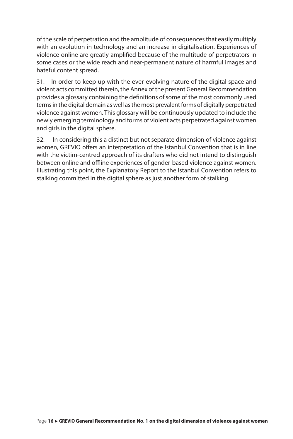of the scale of perpetration and the amplitude of consequences that easily multiply with an evolution in technology and an increase in digitalisation. Experiences of violence online are greatly amplified because of the multitude of perpetrators in some cases or the wide reach and near-permanent nature of harmful images and hateful content spread.

31. In order to keep up with the ever-evolving nature of the digital space and violent acts committed therein, the Annex of the present General Recommendation provides a glossary containing the definitions of some of the most commonly used terms in the digital domain as well as the most prevalent forms of digitally perpetrated violence against women. This glossary will be continuously updated to include the newly emerging terminology and forms of violent acts perpetrated against women and girls in the digital sphere.

32. In considering this a distinct but not separate dimension of violence against women, GREVIO offers an interpretation of the Istanbul Convention that is in line with the victim-centred approach of its drafters who did not intend to distinguish between online and offline experiences of gender-based violence against women. Illustrating this point, the Explanatory Report to the Istanbul Convention refers to stalking committed in the digital sphere as just another form of stalking.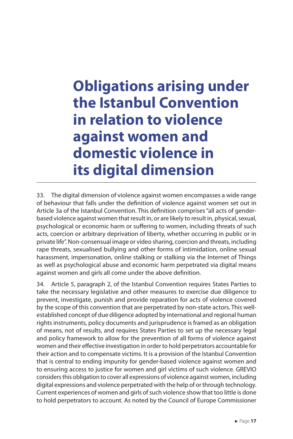# <span id="page-17-0"></span>**Obligations arising under the Istanbul Convention in relation to violence against women and domestic violence in its digital dimension**

33. The digital dimension of violence against women encompasses a wide range of behaviour that falls under the definition of violence against women set out in Article 3a of the Istanbul Convention. This definition comprises "all acts of genderbased violence against women that result in, or are likely to result in, physical, sexual, psychological or economic harm or suffering to women, including threats of such acts, coercion or arbitrary deprivation of liberty, whether occurring in public or in private life". Non-consensual image or video sharing, coercion and threats, including rape threats, sexualised bullying and other forms of intimidation, online sexual harassment, impersonation, online stalking or stalking via the Internet of Things as well as psychological abuse and economic harm perpetrated via digital means against women and girls all come under the above definition.

34. Article 5, paragraph 2, of the Istanbul Convention requires States Parties to take the necessary legislative and other measures to exercise due diligence to prevent, investigate, punish and provide reparation for acts of violence covered by the scope of this convention that are perpetrated by non-state actors. This wellestablished concept of due diligence adopted by international and regional human rights instruments, policy documents and jurisprudence is framed as an obligation of means, not of results, and requires States Parties to set up the necessary legal and policy framework to allow for the prevention of all forms of violence against women and their effective investigation in order to hold perpetrators accountable for their action and to compensate victims. It is a provision of the Istanbul Convention that is central to ending impunity for gender-based violence against women and to ensuring access to justice for women and girl victims of such violence. GREVIO considers this obligation to cover all expressions of violence against women, including digital expressions and violence perpetrated with the help of or through technology. Current experiences of women and girls of such violence show that too little is done to hold perpetrators to account. As noted by the Council of Europe Commissioner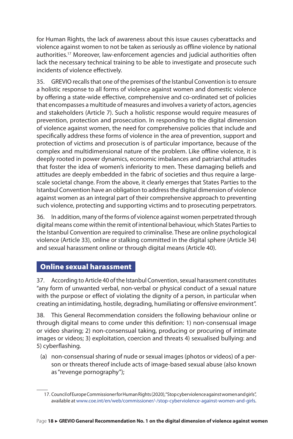<span id="page-18-0"></span>for Human Rights, the lack of awareness about this issue causes cyberattacks and violence against women to not be taken as seriously as offline violence by national authorities.17 Moreover, law-enforcement agencies and judicial authorities often lack the necessary technical training to be able to investigate and prosecute such incidents of violence effectively.

35. GREVIO recalls that one of the premises of the Istanbul Convention is to ensure a holistic response to all forms of violence against women and domestic violence by offering a state-wide effective, comprehensive and co-ordinated set of policies that encompasses a multitude of measures and involves a variety of actors, agencies and stakeholders (Article 7). Such a holistic response would require measures of prevention, protection and prosecution. In responding to the digital dimension of violence against women, the need for comprehensive policies that include and specifically address these forms of violence in the area of prevention, support and protection of victims and prosecution is of particular importance, because of the complex and multidimensional nature of the problem. Like offline violence, it is deeply rooted in power dynamics, economic imbalances and patriarchal attitudes that foster the idea of women's inferiority to men. These damaging beliefs and attitudes are deeply embedded in the fabric of societies and thus require a largescale societal change. From the above, it clearly emerges that States Parties to the Istanbul Convention have an obligation to address the digital dimension of violence against women as an integral part of their comprehensive approach to preventing such violence, protecting and supporting victims and to prosecuting perpetrators.

36. In addition, many of the forms of violence against women perpetrated through digital means come within the remit of intentional behaviour, which States Parties to the Istanbul Convention are required to criminalise. These are online psychological violence (Article 33), online or stalking committed in the digital sphere (Article 34) and sexual harassment online or through digital means (Article 40).

### Online sexual harassment

37. According to Article 40 of the Istanbul Convention, sexual harassment constitutes "any form of unwanted verbal, non-verbal or physical conduct of a sexual nature with the purpose or effect of violating the dignity of a person, in particular when creating an intimidating, hostile, degrading, humiliating or offensive environment".

38. This General Recommendation considers the following behaviour online or through digital means to come under this definition: 1) non-consensual image or video sharing; 2) non-consensual taking, producing or procuring of intimate images or videos; 3) exploitation, coercion and threats 4) sexualised bullying: and 5) cyberflashing.

(a) non-consensual sharing of nude or sexual images (photos or videos) of a person or threats thereof include acts of image-based sexual abuse (also known as "revenge pornography");

<sup>17.</sup> Council of Europe Commissioner for Human Rights (2020), "Stop cyberviolence against women and girls", available at [www.coe.int/en/web/commissioner/-/stop-cyberviolence-against-women-and-girls](http://www.coe.int/en/web/commissioner/-/stop-cyberviolence-against-women-and-girls).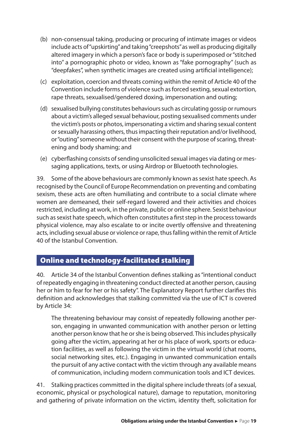- <span id="page-19-0"></span>(b) non-consensual taking, producing or procuring of intimate images or videos include acts of "upskirting" and taking "creepshots" as well as producing digitally altered imagery in which a person's face or body is superimposed or "stitched into" a pornographic photo or video, known as "fake pornography" (such as "deepfakes", when synthetic images are created using artificial intelligence);
- (c) exploitation, coercion and threats coming within the remit of Article 40 of the Convention include forms of violence such as forced sexting, sexual extortion, rape threats, sexualised/gendered doxing, impersonation and outing;
- (d) sexualised bullying constitutes behaviours such as circulating gossip or rumours about a victim's alleged sexual behaviour, posting sexualised comments under the victim's posts or photos, impersonating a victim and sharing sexual content or sexually harassing others, thus impacting their reputation and/or livelihood, or "outing" someone without their consent with the purpose of scaring, threatening and body shaming; and
- (e) cyberflashing consists of sending unsolicited sexual images via dating or messaging applications, texts, or using Airdrop or Bluetooth technologies.

39. Some of the above behaviours are commonly known as sexist hate speech. As recognised by the Council of Europe Recommendation on preventing and combating sexism, these acts are often humiliating and contribute to a social climate where women are demeaned, their self-regard lowered and their activities and choices restricted, including at work, in the private, public or online sphere. Sexist behaviour such as sexist hate speech, which often constitutes a first step in the process towards physical violence, may also escalate to or incite overtly offensive and threatening acts, including sexual abuse or violence or rape, thus falling within the remit of Article 40 of the Istanbul Convention.

## Online and technology-facilitated stalking

40. Article 34 of the Istanbul Convention defines stalking as "intentional conduct of repeatedly engaging in threatening conduct directed at another person, causing her or him to fear for her or his safety". The Explanatory Report further clarifies this definition and acknowledges that stalking committed via the use of ICT is covered by Article 34:

The threatening behaviour may consist of repeatedly following another person, engaging in unwanted communication with another person or letting another person know that he or she is being observed. This includes physically going after the victim, appearing at her or his place of work, sports or education facilities, as well as following the victim in the virtual world (chat rooms, social networking sites, etc.). Engaging in unwanted communication entails the pursuit of any active contact with the victim through any available means of communication, including modern communication tools and ICT devices.

41. Stalking practices committed in the digital sphere include threats (of a sexual, economic, physical or psychological nature), damage to reputation, monitoring and gathering of private information on the victim, identity theft, solicitation for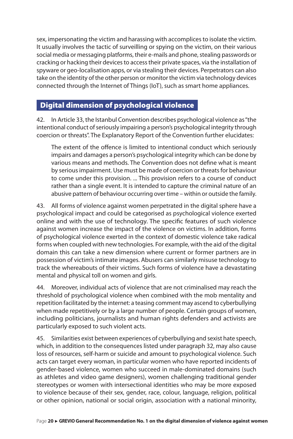<span id="page-20-0"></span>sex, impersonating the victim and harassing with accomplices to isolate the victim. It usually involves the tactic of surveilling or spying on the victim, on their various social media or messaging platforms, their e-mails and phone, stealing passwords or cracking or hacking their devices to access their private spaces, via the installation of spyware or geo-localisation apps, or via stealing their devices. Perpetrators can also take on the identity of the other person or monitor the victim via technology devices connected through the Internet of Things (IoT), such as smart home appliances.

## Digital dimension of psychological violence

42. In Article 33, the Istanbul Convention describes psychological violence as "the intentional conduct of seriously impairing a person's psychological integrity through coercion or threats". The Explanatory Report of the Convention further elucidates:

The extent of the offence is limited to intentional conduct which seriously impairs and damages a person's psychological integrity which can be done by various means and methods. The Convention does not define what is meant by serious impairment. Use must be made of coercion or threats for behaviour to come under this provision. ... This provision refers to a course of conduct rather than a single event. It is intended to capture the criminal nature of an abusive pattern of behaviour occurring over time – within or outside the family.

43. All forms of violence against women perpetrated in the digital sphere have a psychological impact and could be categorised as psychological violence exerted online and with the use of technology. The specific features of such violence against women increase the impact of the violence on victims. In addition, forms of psychological violence exerted in the context of domestic violence take radical forms when coupled with new technologies. For example, with the aid of the digital domain this can take a new dimension where current or former partners are in possession of victim's intimate images. Abusers can similarly misuse technology to track the whereabouts of their victims. Such forms of violence have a devastating mental and physical toll on women and girls.

44. Moreover, individual acts of violence that are not criminalised may reach the threshold of psychological violence when combined with the mob mentality and repetition facilitated by the internet: a teasing comment may ascend to cyberbullying when made repetitively or by a large number of people. Certain groups of women, including politicians, journalists and human rights defenders and activists are particularly exposed to such violent acts.

45. Similarities exist between experiences of cyberbullying and sexist hate speech, which, in addition to the consequences listed under paragraph 32, may also cause loss of resources, self-harm or suicide and amount to psychological violence. Such acts can target every woman, in particular women who have reported incidents of gender-based violence, women who succeed in male-dominated domains (such as athletes and video game designers), women challenging traditional gender stereotypes or women with intersectional identities who may be more exposed to violence because of their sex, gender, race, colour, language, religion, political or other opinion, national or social origin, association with a national minority,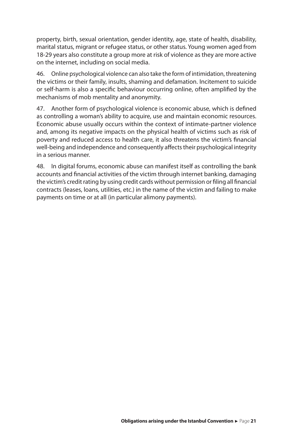property, birth, sexual orientation, gender identity, age, state of health, disability, marital status, migrant or refugee status, or other status. Young women aged from 18-29 years also constitute a group more at risk of violence as they are more active on the internet, including on social media.

46. Online psychological violence can also take the form of intimidation, threatening the victims or their family, insults, shaming and defamation. Incitement to suicide or self-harm is also a specific behaviour occurring online, often amplified by the mechanisms of mob mentality and anonymity.

47. Another form of psychological violence is economic abuse, which is defined as controlling a woman's ability to acquire, use and maintain economic resources. Economic abuse usually occurs within the context of intimate-partner violence and, among its negative impacts on the physical health of victims such as risk of poverty and reduced access to health care, it also threatens the victim's financial well-being and independence and consequently affects their psychological integrity in a serious manner.

48. In digital forums, economic abuse can manifest itself as controlling the bank accounts and financial activities of the victim through internet banking, damaging the victim's credit rating by using credit cards without permission or filing all financial contracts (leases, loans, utilities, etc.) in the name of the victim and failing to make payments on time or at all (in particular alimony payments).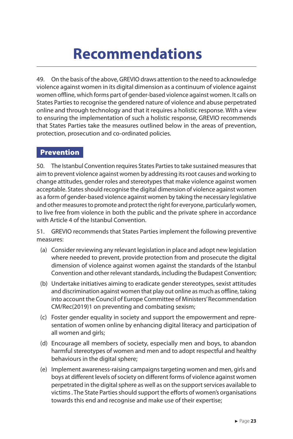# **Recommendations**

<span id="page-23-0"></span>49. On the basis of the above, GREVIO draws attention to the need to acknowledge violence against women in its digital dimension as a continuum of violence against women offline, which forms part of gender-based violence against women. It calls on States Parties to recognise the gendered nature of violence and abuse perpetrated online and through technology and that it requires a holistic response. With a view to ensuring the implementation of such a holistic response, GREVIO recommends that States Parties take the measures outlined below in the areas of prevention, protection, prosecution and co-ordinated policies.

### Prevention

50. The Istanbul Convention requires States Parties to take sustained measures that aim to prevent violence against women by addressing its root causes and working to change attitudes, gender roles and stereotypes that make violence against women acceptable. States should recognise the digital dimension of violence against women as a form of gender-based violence against women by taking the necessary legislative and other measures to promote and protect the right for everyone, particularly women, to live free from violence in both the public and the private sphere in accordance with Article 4 of the Istanbul Convention.

51. GREVIO recommends that States Parties implement the following preventive measures:

- (a) Consider reviewing any relevant legislation in place and adopt new legislation where needed to prevent, provide protection from and prosecute the digital dimension of violence against women against the standards of the Istanbul Convention and other relevant standards, including the Budapest Convention;
- (b) Undertake initiatives aiming to eradicate gender stereotypes, sexist attitudes and discrimination against women that play out online as much as offline, taking into account the Council of Europe Committee of Ministers' Recommendation CM/Rec(2019)1 on preventing and combating sexism;
- (c) Foster gender equality in society and support the empowerment and representation of women online by enhancing digital literacy and participation of all women and girls;
- (d) Encourage all members of society, especially men and boys, to abandon harmful stereotypes of women and men and to adopt respectful and healthy behaviours in the digital sphere;
- (e) Implement awareness-raising campaigns targeting women and men, girls and boys at different levels of society on different forms of violence against women perpetrated in the digital sphere as well as on the support services available to victims . The State Parties should support the efforts of women's organisations towards this end and recognise and make use of their expertise;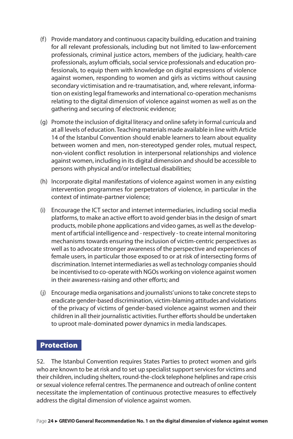- <span id="page-24-0"></span>(f) Provide mandatory and continuous capacity building, education and training for all relevant professionals, including but not limited to law-enforcement professionals, criminal justice actors, members of the judiciary, health-care professionals, asylum officials, social service professionals and education professionals, to equip them with knowledge on digital expressions of violence against women, responding to women and girls as victims without causing secondary victimisation and re-traumatisation, and, where relevant, information on existing legal frameworks and international co-operation mechanisms relating to the digital dimension of violence against women as well as on the gathering and securing of electronic evidence;
- (g) Promote the inclusion of digital literacy and online safety in formal curricula and at all levels of education. Teaching materials made available in line with Article 14 of the Istanbul Convention should enable learners to learn about equality between women and men, non-stereotyped gender roles, mutual respect, non-violent conflict resolution in interpersonal relationships and violence against women, including in its digital dimension and should be accessible to persons with physical and/or intellectual disabilities;
- (h) Incorporate digital manifestations of violence against women in any existing intervention programmes for perpetrators of violence, in particular in the context of intimate-partner violence;
- (i) Encourage the ICT sector and internet intermediaries, including social media platforms, to make an active effort to avoid gender bias in the design of smart products, mobile phone applications and video games, as well as the development of artificial intelligence and - respectively - to create internal monitoring mechanisms towards ensuring the inclusion of victim-centric perspectives as well as to advocate stronger awareness of the perspective and experiences of female users, in particular those exposed to or at risk of intersecting forms of discrimination. Internet intermediaries as well as technology companies should be incentivised to co-operate with NGOs working on violence against women in their awareness-raising and other efforts; and
- (j) Encourage media organisations and journalists' unions to take concrete steps to eradicate gender-based discrimination, victim-blaming attitudes and violations of the privacy of victims of gender-based violence against women and their children in all their journalistic activities. Further efforts should be undertaken to uproot male-dominated power dynamics in media landscapes.

#### Protection

52. The Istanbul Convention requires States Parties to protect women and girls who are known to be at risk and to set up specialist support services for victims and their children, including shelters, round-the-clock telephone helplines and rape crisis or sexual violence referral centres. The permanence and outreach of online content necessitate the implementation of continuous protective measures to effectively address the digital dimension of violence against women.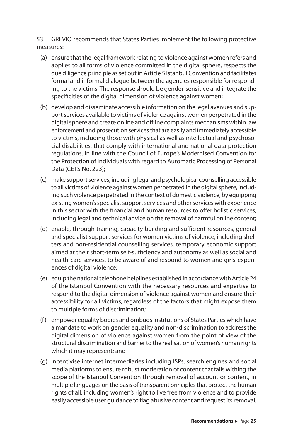53. GREVIO recommends that States Parties implement the following protective measures:

- (a) ensure that the legal framework relating to violence against women refers and applies to all forms of violence committed in the digital sphere, respects the due diligence principle as set out in Article 5 Istanbul Convention and facilitates formal and informal dialogue between the agencies responsible for responding to the victims. The response should be gender-sensitive and integrate the specificities of the digital dimension of violence against women;
- (b) develop and disseminate accessible information on the legal avenues and support services available to victims of violence against women perpetrated in the digital sphere and create online and offline complaints mechanisms within law enforcement and prosecution services that are easily and immediately accessible to victims, including those with physical as well as intellectual and psychosocial disabilities, that comply with international and national data protection regulations, in line with the Council of Europe's Modernised Convention for the Protection of Individuals with regard to Automatic Processing of Personal Data (CETS No. 223);
- (c) make support services, including legal and psychological counselling accessible to all victims of violence against women perpetrated in the digital sphere, including such violence perpetrated in the context of domestic violence, by equipping existing women's specialist support services and other services with experience in this sector with the financial and human resources to offer holistic services, including legal and technical advice on the removal of harmful online content;
- (d) enable, through training, capacity building and sufficient resources, general and specialist support services for women victims of violence, including shelters and non-residential counselling services, temporary economic support aimed at their short-term self-sufficiency and autonomy as well as social and health-care services, to be aware of and respond to women and girls' experiences of digital violence;
- (e) equip the national telephone helplines established in accordance with Article 24 of the Istanbul Convention with the necessary resources and expertise to respond to the digital dimension of violence against women and ensure their accessibility for all victims, regardless of the factors that might expose them to multiple forms of discrimination;
- (f) empower equality bodies and ombuds institutions of States Parties which have a mandate to work on gender equality and non-discrimination to address the digital dimension of violence against women from the point of view of the structural discrimination and barrier to the realisation of women's human rights which it may represent; and
- (g) incentivise internet intermediaries including ISPs, search engines and social media platforms to ensure robust moderation of content that falls withing the scope of the Istanbul Convention through removal of account or content, in multiple languages on the basis of transparent principles that protect the human rights of all, including women's right to live free from violence and to provide easily accessible user guidance to flag abusive content and request its removal.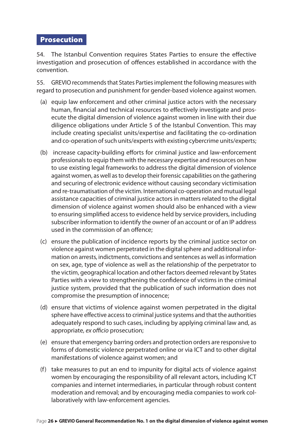### <span id="page-26-0"></span>Prosecution

54. The Istanbul Convention requires States Parties to ensure the effective investigation and prosecution of offences established in accordance with the convention.

55. GREVIO recommends that States Parties implement the following measures with regard to prosecution and punishment for gender-based violence against women.

- (a) equip law enforcement and other criminal justice actors with the necessary human, financial and technical resources to effectively investigate and prosecute the digital dimension of violence against women in line with their due diligence obligations under Article 5 of the Istanbul Convention. This may include creating specialist units/expertise and facilitating the co-ordination and co-operation of such units/experts with existing cybercrime units/experts;
- (b) increase capacity-building efforts for criminal justice and law-enforcement professionals to equip them with the necessary expertise and resources on how to use existing legal frameworks to address the digital dimension of violence against women, as well as to develop their forensic capabilities on the gathering and securing of electronic evidence without causing secondary victimisation and re-traumatisation of the victim. International co-operation and mutual legal assistance capacities of criminal justice actors in matters related to the digital dimension of violence against women should also be enhanced with a view to ensuring simplified access to evidence held by service providers, including subscriber information to identify the owner of an account or of an IP address used in the commission of an offence;
- (c) ensure the publication of incidence reports by the criminal justice sector on violence against women perpetrated in the digital sphere and additional information on arrests, indictments, convictions and sentences as well as information on sex, age, type of violence as well as the relationship of the perpetrator to the victim, geographical location and other factors deemed relevant by States Parties with a view to strengthening the confidence of victims in the criminal justice system, provided that the publication of such information does not compromise the presumption of innocence;
- (d) ensure that victims of violence against women perpetrated in the digital sphere have effective access to criminal justice systems and that the authorities adequately respond to such cases, including by applying criminal law and, as appropriate, *ex officio* prosecution;
- (e) ensure that emergency barring orders and protection orders are responsive to forms of domestic violence perpetrated online or via ICT and to other digital manifestations of violence against women; and
- (f) take measures to put an end to impunity for digital acts of violence against women by encouraging the responsibility of all relevant actors, including ICT companies and internet intermediaries, in particular through robust content moderation and removal; and by encouraging media companies to work collaboratively with law-enforcement agencies.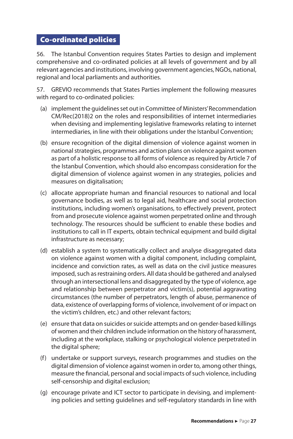## <span id="page-27-0"></span>Co-ordinated policies

56. The Istanbul Convention requires States Parties to design and implement comprehensive and co-ordinated policies at all levels of government and by all relevant agencies and institutions, involving government agencies, NGOs, national, regional and local parliaments and authorities.

57. GREVIO recommends that States Parties implement the following measures with regard to co-ordinated policies:

- (a) implement the guidelines set out in Committee of Ministers' Recommendation CM/Rec(2018)2 on the roles and responsibilities of internet intermediaries when devising and implementing legislative frameworks relating to internet intermediaries, in line with their obligations under the Istanbul Convention;
- (b) ensure recognition of the digital dimension of violence against women in national strategies, programmes and action plans on violence against women as part of a holistic response to all forms of violence as required by Article 7 of the Istanbul Convention, which should also encompass consideration for the digital dimension of violence against women in any strategies, policies and measures on digitalisation;
- (c) allocate appropriate human and financial resources to national and local governance bodies, as well as to legal aid, healthcare and social protection institutions, including women's organisations, to effectively prevent, protect from and prosecute violence against women perpetrated online and through technology. The resources should be sufficient to enable these bodies and institutions to call in IT experts, obtain technical equipment and build digital infrastructure as necessary;
- (d) establish a system to systematically collect and analyse disaggregated data on violence against women with a digital component, including complaint, incidence and conviction rates, as well as data on the civil justice measures imposed, such as restraining orders. All data should be gathered and analysed through an intersectional lens and disaggregated by the type of violence, age and relationship between perpetrator and victim(s), potential aggravating circumstances (the number of perpetrators, length of abuse, permanence of data, existence of overlapping forms of violence, involvement of or impact on the victim's children, etc.) and other relevant factors;
- (e) ensure that data on suicides or suicide attempts and on gender-based killings of women and their children include information on the history of harassment, including at the workplace, stalking or psychological violence perpetrated in the digital sphere;
- (f) undertake or support surveys, research programmes and studies on the digital dimension of violence against women in order to, among other things, measure the financial, personal and social impacts of such violence, including self-censorship and digital exclusion;
- (g) encourage private and ICT sector to participate in devising, and implementing policies and setting guidelines and self-regulatory standards in line with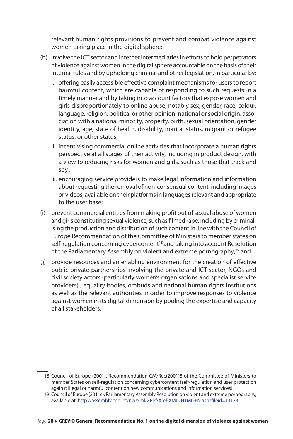relevant human rights provisions to prevent and combat violence against women taking place in the digital sphere;

- (h) involve the ICT sector and internet intermediaries in efforts to hold perpetrators of violence against women in the digital sphere accountable on the basis of their internal rules and by upholding criminal and other legislation, in particular by:
	- i. offering easily accessible effective complaint mechanisms for users to report harmful content, which are capable of responding to such requests in a timely manner and by taking into account factors that expose women and girls disproportionately to online abuse, notably sex, gender, race, colour, language, religion, political or other opinion, national or social origin, association with a national minority, property, birth, sexual orientation, gender identity, age, state of health, disability, marital status, migrant or refugee status, or other status;
	- ii. incentivising commercial online activities that incorporate a human rights perspective at all stages of their activity, including in product design, with a view to reducing risks for women and girls, such as those that track and spy ;
	- iii. encouraging service providers to make legal information and information about requesting the removal of non-consensual content, including images or videos, available on their platforms in languages relevant and appropriate to the user base;
- (i) prevent commercial entities from making profit out of sexual abuse of women and girls constituting sexual violence, such as filmed rape, including by criminalising the production and distribution of such content in line with the Council of Europe Recommendation of the Committee of Ministers to member states on self-regulation concerning cybercontent<sup>18</sup> and taking into account Resolution of the Parliamentary Assembly [on violent and extreme pornography](http://assembly.coe.int/nw/xml/XRef/Xref-XML2HTML-en.asp?fileid=18028&lang=en);19 and
- (j) provide resources and an enabling environment for the creation of effective public-private partnerships involving the private and ICT sector, NGOs and civil society actors (particularly women's organisations and specialist service providers) , equality bodies, ombuds and national human rights institutions as well as the relevant authorities in order to improve responses to violence against women in its digital dimension by pooling the expertise and capacity of all stakeholders.

<sup>18.</sup> Council of Europe (2001), Recommendation CM/Rec(2001)8 of the Committee of Ministers to member States on self-regulation concerning cybercontent (self-regulation and user protection against illegal or harmful content on new communications and information services).

<sup>19.</sup> Council of Europe (2011c), Parliamentary Assembly Resolution on violent and extreme pornography, available at: [http://assembly.coe.int/nw/xml/XRef/Xref-XML2HTML-EN.asp?fileid=13173.](http://assembly.coe.int/nw/xml/XRef/Xref-XML2HTML-EN.asp?fileid=13173)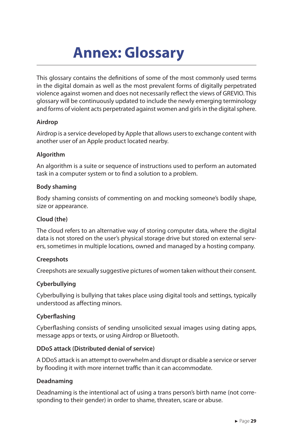# **Annex: Glossary**

<span id="page-29-0"></span>This glossary contains the definitions of some of the most commonly used terms in the digital domain as well as the most prevalent forms of digitally perpetrated violence against women and does not necessarily reflect the views of GREVIO. This glossary will be continuously updated to include the newly emerging terminology and forms of violent acts perpetrated against women and girls in the digital sphere.

#### **Airdrop**

Airdrop is a service developed by Apple that allows users to exchange content with another user of an Apple product located nearby.

#### **Algorithm**

An algorithm is a suite or sequence of instructions used to perform an automated task in a computer system or to find a solution to a problem.

#### **Body shaming**

Body shaming consists of commenting on and mocking someone's bodily shape, size or appearance.

#### **Cloud (the)**

The cloud refers to an alternative way of storing computer data, where the digital data is not stored on the user's physical storage drive but stored on external servers, sometimes in multiple locations, owned and managed by a hosting company.

#### **Creepshots**

Creepshots are sexually suggestive pictures of women taken without their consent.

#### **Cyberbullying**

Cyberbullying is bullying that takes place using digital tools and settings, typically understood as affecting minors.

#### **Cyberflashing**

Cyberflashing consists of sending unsolicited sexual images using dating apps, message apps or texts, or using Airdrop or Bluetooth.

#### **DDoS attack (Distributed denial of service)**

A DDoS attack is an attempt to overwhelm and disrupt or disable a service or server by flooding it with more internet traffic than it can accommodate.

#### **Deadnaming**

Deadnaming is the intentional act of using a trans person's birth name (not corresponding to their gender) in order to shame, threaten, scare or abuse.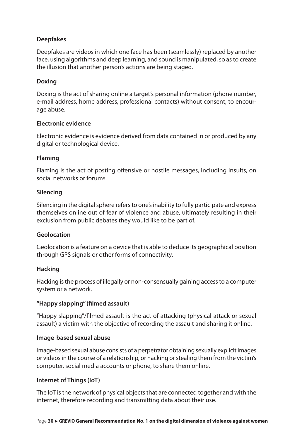#### **Deepfakes**

Deepfakes are videos in which one face has been (seamlessly) replaced by another face, using algorithms and deep learning, and sound is manipulated, so as to create the illusion that another person's actions are being staged.

#### **Doxing**

Doxing is the act of sharing online a target's personal information (phone number, e-mail address, home address, professional contacts) without consent, to encourage abuse.

#### **Electronic evidence**

Electronic evidence is evidence derived from data contained in or produced by any digital or technological device.

#### **Flaming**

Flaming is the act of posting offensive or hostile messages, including insults, on social networks or forums.

#### **Silencing**

Silencing in the digital sphere refers to one's inability to fully participate and express themselves online out of fear of violence and abuse, ultimately resulting in their exclusion from public debates they would like to be part of.

#### **Geolocation**

Geolocation is a feature on a device that is able to deduce its geographical position through GPS signals or other forms of connectivity.

#### **Hacking**

Hacking is the process of illegally or non-consensually gaining access to a computer system or a network.

#### **"Happy slapping" (filmed assault)**

"Happy slapping"/filmed assault is the act of attacking (physical attack or sexual assault) a victim with the objective of recording the assault and sharing it online.

#### **Image-based sexual abuse**

Image-based sexual abuse consists of a perpetrator obtaining sexually explicit images or videos in the course of a relationship, or hacking or stealing them from the victim's computer, social media accounts or phone, to share them online.

#### **Internet of Things (IoT)**

The IoT is the network of physical objects that are connected together and with the internet, therefore recording and transmitting data about their use.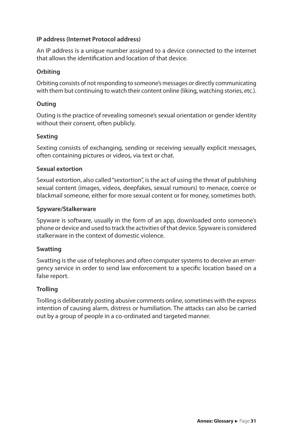#### **IP address (Internet Protocol address)**

An IP address is a unique number assigned to a device connected to the internet that allows the identification and location of that device.

#### **Orbiting**

Orbiting consists of not responding to someone's messages or directly communicating with them but continuing to watch their content online (liking, watching stories, etc.).

#### **Outing**

Outing is the practice of revealing someone's sexual orientation or gender identity without their consent, often publicly.

#### **Sexting**

Sexting consists of exchanging, sending or receiving sexually explicit messages, often containing pictures or videos, via text or chat.

#### **Sexual extortion**

Sexual extortion, also called "sextortion", is the act of using the threat of publishing sexual content (images, videos, deepfakes, sexual rumours) to menace, coerce or blackmail someone, either for more sexual content or for money, sometimes both.

#### **Spyware/Stalkerware**

Spyware is software, usually in the form of an app, downloaded onto someone's phone or device and used to track the activities of that device. Spyware is considered stalkerware in the context of domestic violence.

#### **Swatting**

Swatting is the use of telephones and often computer systems to deceive an emergency service in order to send law enforcement to a specific location based on a false report.

#### **Trolling**

Trolling is deliberately posting abusive comments online, sometimes with the express intention of causing alarm, distress or humiliation. The attacks can also be carried out by a group of people in a co-ordinated and targeted manner.